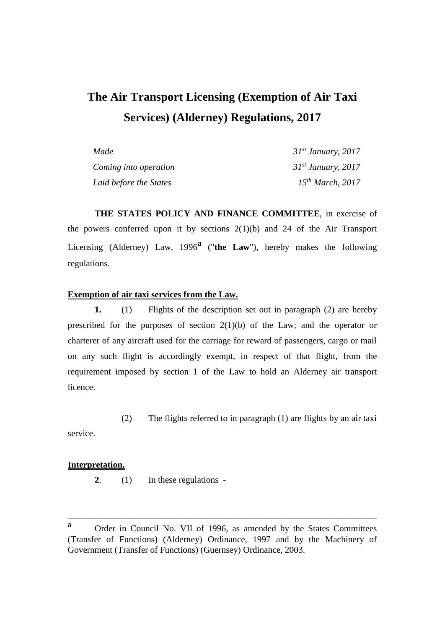# **The Air Transport Licensing (Exemption of Air Taxi Services) (Alderney) Regulations, 2017**

| Made                   | $31^{st}$ January, 2017 |
|------------------------|-------------------------|
| Coming into operation  | $31st$ January, 2017    |
| Laid before the States | $15^{th}$ March, 2017   |

**THE STATES POLICY AND FINANCE COMMITTEE**, in exercise of the powers conferred upon it by sections  $2(1)(b)$  and 24 of the Air Transport Licensing (Alderney) Law, 1996**<sup>a</sup>** ("**the Law**"), hereby makes the following regulations.

### **Exemption of air taxi services from the Law.**

**1.** (1) Flights of the description set out in paragraph (2) are hereby prescribed for the purposes of section  $2(1)(b)$  of the Law; and the operator or charterer of any aircraft used for the carriage for reward of passengers, cargo or mail on any such flight is accordingly exempt, in respect of that flight, from the requirement imposed by section 1 of the Law to hold an Alderney air transport licence.

(2) The flights referred to in paragraph (1) are flights by an air taxi

service.

### **Interpretation.**

**2**. (1) In these regulations -

\_\_\_\_\_\_\_\_\_\_\_\_\_\_\_\_\_\_\_\_\_\_\_\_\_\_\_\_\_\_\_\_\_\_\_\_\_\_\_\_\_\_\_\_\_\_\_\_\_\_\_\_\_\_\_\_\_\_\_\_\_\_\_\_\_\_\_\_\_

**a** Order in Council No. VII of 1996, as amended by the States Committees (Transfer of Functions) (Alderney) Ordinance, 1997 and by the Machinery of Government (Transfer of Functions) (Guernsey) Ordinance, 2003.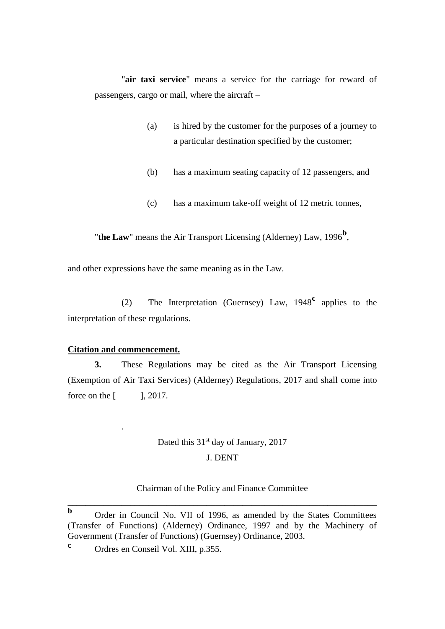"**air taxi service**" means a service for the carriage for reward of passengers, cargo or mail, where the aircraft –

- (a) is hired by the customer for the purposes of a journey to a particular destination specified by the customer;
- (b) has a maximum seating capacity of 12 passengers, and
- (c) has a maximum take-off weight of 12 metric tonnes,

"**the Law**" means the Air Transport Licensing (Alderney) Law, 1996<sup>b</sup>,

and other expressions have the same meaning as in the Law.

(2) The Interpretation (Guernsey) Law, 1948**<sup>c</sup>** applies to the interpretation of these regulations.

### **Citation and commencement.**

.

**3.** These Regulations may be cited as the Air Transport Licensing (Exemption of Air Taxi Services) (Alderney) Regulations, 2017 and shall come into force on the [ ], 2017.

## Dated this 31<sup>st</sup> day of January, 2017 J. DENT

### Chairman of the Policy and Finance Committee \_\_\_\_\_\_\_\_\_\_\_\_\_\_\_\_\_\_\_\_\_\_\_\_\_\_\_\_\_\_\_\_\_\_\_\_\_\_\_\_\_\_\_\_\_\_\_\_\_\_\_\_\_\_\_\_\_\_\_\_\_\_\_\_\_\_\_\_\_

**b** Order in Council No. VII of 1996, as amended by the States Committees (Transfer of Functions) (Alderney) Ordinance, 1997 and by the Machinery of Government (Transfer of Functions) (Guernsey) Ordinance, 2003.

**c** Ordres en Conseil Vol. XIII, p.355.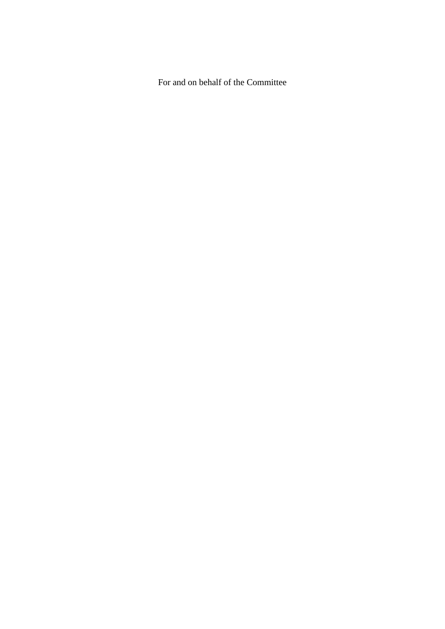For and on behalf of the Committee